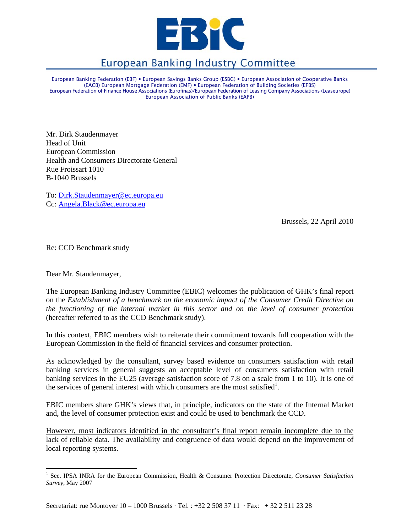

# **European Banking Industry Committee**

European Banking Federation (EBF) • European Savings Banks Group (ESBG) • European Association of Cooperative Banks (EACB) European Mortgage Federation (EMF) y European Federation of Building Societies (EFBS) European Federation of Finance House Associations (Eurofinas)/European Federation of Leasing Company Associations (Leaseurope) European Association of Public Banks (EAPB)

Mr. Dirk Staudenmayer Head of Unit European Commission Health and Consumers Directorate General Rue Froissart 1010 B-1040 Brussels

To: Dirk.Staudenmayer@ec.europa.eu Cc: Angela.Black@ec.europa.eu

Brussels, 22 April 2010

Re: CCD Benchmark study

Dear Mr. Staudenmayer,

 $\overline{a}$ 

The European Banking Industry Committee (EBIC) welcomes the publication of GHK's final report on the *Establishment of a benchmark on the economic impact of the Consumer Credit Directive on the functioning of the internal market in this sector and on the level of consumer protection* (hereafter referred to as the CCD Benchmark study).

In this context, EBIC members wish to reiterate their commitment towards full cooperation with the European Commission in the field of financial services and consumer protection.

As acknowledged by the consultant, survey based evidence on consumers satisfaction with retail banking services in general suggests an acceptable level of consumers satisfaction with retail banking services in the EU25 (average satisfaction score of 7.8 on a scale from 1 to 10). It is one of the services of general interest with which consumers are the most satisfied<sup>1</sup>.

EBIC members share GHK's views that, in principle, indicators on the state of the Internal Market and, the level of consumer protection exist and could be used to benchmark the CCD.

However, most indicators identified in the consultant's final report remain incomplete due to the lack of reliable data. The availability and congruence of data would depend on the improvement of local reporting systems.

<sup>&</sup>lt;sup>1</sup> See. IPSA INRA for the European Commission, Health & Consumer Protection Directorate, *Consumer Satisfaction Survey*, May 2007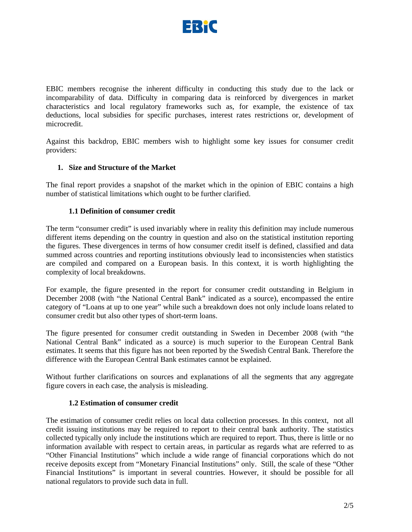

EBIC members recognise the inherent difficulty in conducting this study due to the lack or incomparability of data. Difficulty in comparing data is reinforced by divergences in market characteristics and local regulatory frameworks such as, for example, the existence of tax deductions, local subsidies for specific purchases, interest rates restrictions or, development of microcredit.

Against this backdrop, EBIC members wish to highlight some key issues for consumer credit providers:

## **1. Size and Structure of the Market**

The final report provides a snapshot of the market which in the opinion of EBIC contains a high number of statistical limitations which ought to be further clarified.

#### **1.1 Definition of consumer credit**

The term "consumer credit" is used invariably where in reality this definition may include numerous different items depending on the country in question and also on the statistical institution reporting the figures. These divergences in terms of how consumer credit itself is defined, classified and data summed across countries and reporting institutions obviously lead to inconsistencies when statistics are compiled and compared on a European basis. In this context, it is worth highlighting the complexity of local breakdowns.

For example, the figure presented in the report for consumer credit outstanding in Belgium in December 2008 (with "the National Central Bank" indicated as a source), encompassed the entire category of "Loans at up to one year" while such a breakdown does not only include loans related to consumer credit but also other types of short-term loans.

The figure presented for consumer credit outstanding in Sweden in December 2008 (with "the National Central Bank" indicated as a source) is much superior to the European Central Bank estimates. It seems that this figure has not been reported by the Swedish Central Bank. Therefore the difference with the European Central Bank estimates cannot be explained.

Without further clarifications on sources and explanations of all the segments that any aggregate figure covers in each case, the analysis is misleading.

#### **1.2 Estimation of consumer credit**

The estimation of consumer credit relies on local data collection processes. In this context, not all credit issuing institutions may be required to report to their central bank authority. The statistics collected typically only include the institutions which are required to report. Thus, there is little or no information available with respect to certain areas, in particular as regards what are referred to as "Other Financial Institutions" which include a wide range of financial corporations which do not receive deposits except from "Monetary Financial Institutions" only. Still, the scale of these "Other Financial Institutions" is important in several countries. However, it should be possible for all national regulators to provide such data in full.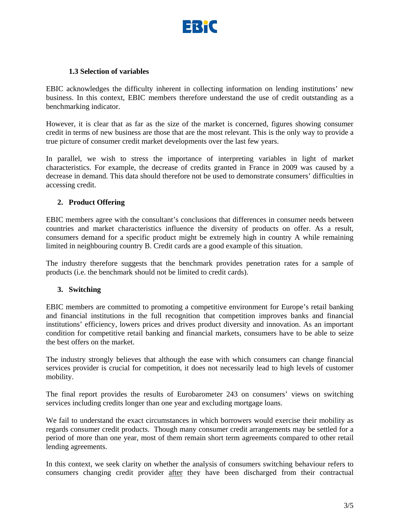

## **1.3 Selection of variables**

EBIC acknowledges the difficulty inherent in collecting information on lending institutions' new business. In this context, EBIC members therefore understand the use of credit outstanding as a benchmarking indicator.

However, it is clear that as far as the size of the market is concerned, figures showing consumer credit in terms of new business are those that are the most relevant. This is the only way to provide a true picture of consumer credit market developments over the last few years.

In parallel, we wish to stress the importance of interpreting variables in light of market characteristics. For example, the decrease of credits granted in France in 2009 was caused by a decrease in demand. This data should therefore not be used to demonstrate consumers' difficulties in accessing credit.

## **2. Product Offering**

EBIC members agree with the consultant's conclusions that differences in consumer needs between countries and market characteristics influence the diversity of products on offer. As a result, consumers demand for a specific product might be extremely high in country A while remaining limited in neighbouring country B. Credit cards are a good example of this situation.

The industry therefore suggests that the benchmark provides penetration rates for a sample of products (i.e. the benchmark should not be limited to credit cards).

#### **3. Switching**

EBIC members are committed to promoting a competitive environment for Europe's retail banking and financial institutions in the full recognition that competition improves banks and financial institutions' efficiency, lowers prices and drives product diversity and innovation. As an important condition for competitive retail banking and financial markets, consumers have to be able to seize the best offers on the market.

The industry strongly believes that although the ease with which consumers can change financial services provider is crucial for competition, it does not necessarily lead to high levels of customer mobility.

The final report provides the results of Eurobarometer 243 on consumers' views on switching services including credits longer than one year and excluding mortgage loans.

We fail to understand the exact circumstances in which borrowers would exercise their mobility as regards consumer credit products. Though many consumer credit arrangements may be settled for a period of more than one year, most of them remain short term agreements compared to other retail lending agreements.

In this context, we seek clarity on whether the analysis of consumers switching behaviour refers to consumers changing credit provider after they have been discharged from their contractual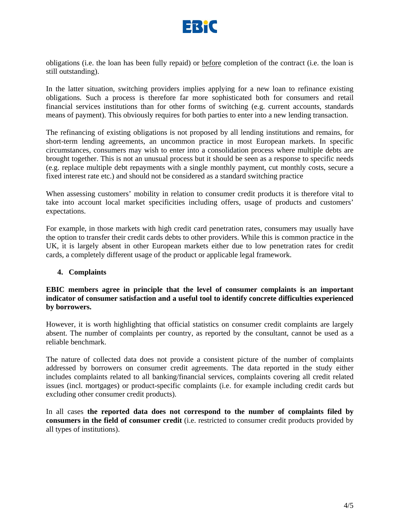

obligations (i.e. the loan has been fully repaid) or before completion of the contract (i.e. the loan is still outstanding).

In the latter situation, switching providers implies applying for a new loan to refinance existing obligations. Such a process is therefore far more sophisticated both for consumers and retail financial services institutions than for other forms of switching (e.g. current accounts, standards means of payment). This obviously requires for both parties to enter into a new lending transaction.

The refinancing of existing obligations is not proposed by all lending institutions and remains, for short-term lending agreements, an uncommon practice in most European markets. In specific circumstances, consumers may wish to enter into a consolidation process where multiple debts are brought together. This is not an unusual process but it should be seen as a response to specific needs (e.g. replace multiple debt repayments with a single monthly payment, cut monthly costs, secure a fixed interest rate etc.) and should not be considered as a standard switching practice

When assessing customers' mobility in relation to consumer credit products it is therefore vital to take into account local market specificities including offers, usage of products and customers' expectations.

For example, in those markets with high credit card penetration rates, consumers may usually have the option to transfer their credit cards debts to other providers. While this is common practice in the UK, it is largely absent in other European markets either due to low penetration rates for credit cards, a completely different usage of the product or applicable legal framework.

#### **4. Complaints**

## **EBIC members agree in principle that the level of consumer complaints is an important indicator of consumer satisfaction and a useful tool to identify concrete difficulties experienced by borrowers.**

However, it is worth highlighting that official statistics on consumer credit complaints are largely absent. The number of complaints per country, as reported by the consultant, cannot be used as a reliable benchmark.

The nature of collected data does not provide a consistent picture of the number of complaints addressed by borrowers on consumer credit agreements. The data reported in the study either includes complaints related to all banking/financial services, complaints covering all credit related issues (incl. mortgages) or product-specific complaints (i.e. for example including credit cards but excluding other consumer credit products).

In all cases **the reported data does not correspond to the number of complaints filed by consumers in the field of consumer credit** (i.e. restricted to consumer credit products provided by all types of institutions).